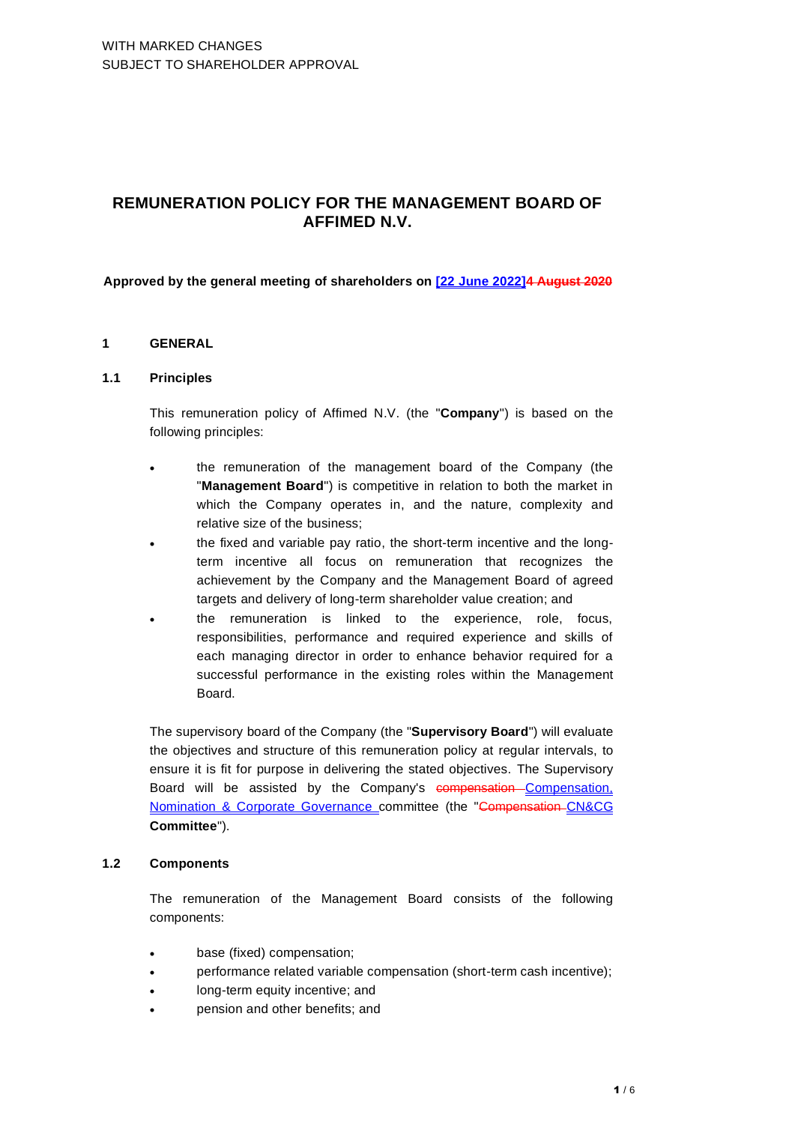# **REMUNERATION POLICY FOR THE MANAGEMENT BOARD OF AFFIMED N.V.**

#### **Approved by the general meeting of shareholders on [22 June 2022]4 August 2020**

#### **1 GENERAL**

#### **1.1 Principles**

This remuneration policy of Affimed N.V. (the "**Company**") is based on the following principles:

- the remuneration of the management board of the Company (the "**Management Board**") is competitive in relation to both the market in which the Company operates in, and the nature, complexity and relative size of the business;
- the fixed and variable pay ratio, the short-term incentive and the longterm incentive all focus on remuneration that recognizes the achievement by the Company and the Management Board of agreed targets and delivery of long-term shareholder value creation; and
- the remuneration is linked to the experience, role, focus, responsibilities, performance and required experience and skills of each managing director in order to enhance behavior required for a successful performance in the existing roles within the Management Board.

The supervisory board of the Company (the "**Supervisory Board**") will evaluate the objectives and structure of this remuneration policy at regular intervals, to ensure it is fit for purpose in delivering the stated objectives. The Supervisory Board will be assisted by the Company's compensation-Compensation, Nomination & Corporate Governance committee (the "Compensation CN&CG **Committee**").

# **1.2 Components**

The remuneration of the Management Board consists of the following components:

- base (fixed) compensation;
- performance related variable compensation (short-term cash incentive);
- long-term equity incentive; and
- pension and other benefits; and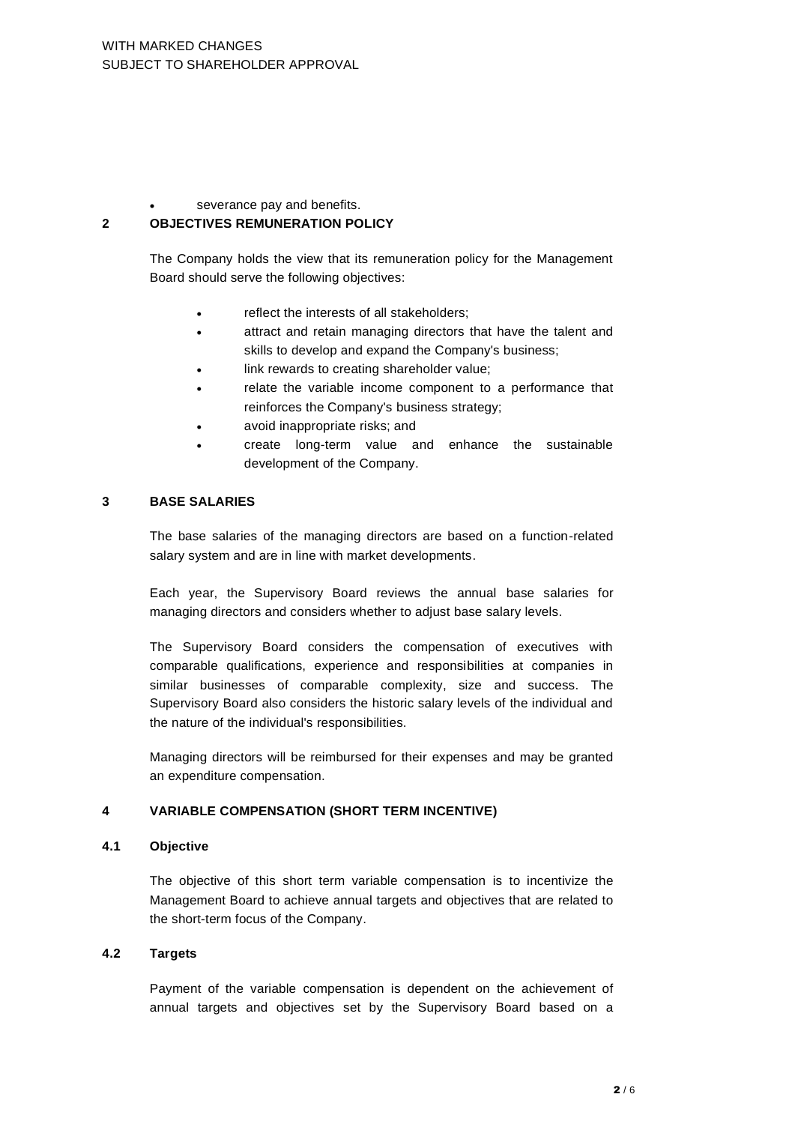severance pay and benefits.

## **2 OBJECTIVES REMUNERATION POLICY**

The Company holds the view that its remuneration policy for the Management Board should serve the following objectives:

- reflect the interests of all stakeholders:
- attract and retain managing directors that have the talent and skills to develop and expand the Company's business;
- link rewards to creating shareholder value;
- relate the variable income component to a performance that reinforces the Company's business strategy;
- avoid inappropriate risks; and
- create long-term value and enhance the sustainable development of the Company.

#### **3 BASE SALARIES**

The base salaries of the managing directors are based on a function-related salary system and are in line with market developments.

Each year, the Supervisory Board reviews the annual base salaries for managing directors and considers whether to adjust base salary levels.

The Supervisory Board considers the compensation of executives with comparable qualifications, experience and responsibilities at companies in similar businesses of comparable complexity, size and success. The Supervisory Board also considers the historic salary levels of the individual and the nature of the individual's responsibilities.

Managing directors will be reimbursed for their expenses and may be granted an expenditure compensation.

# **4 VARIABLE COMPENSATION (SHORT TERM INCENTIVE)**

#### **4.1 Objective**

The objective of this short term variable compensation is to incentivize the Management Board to achieve annual targets and objectives that are related to the short-term focus of the Company.

#### **4.2 Targets**

Payment of the variable compensation is dependent on the achievement of annual targets and objectives set by the Supervisory Board based on a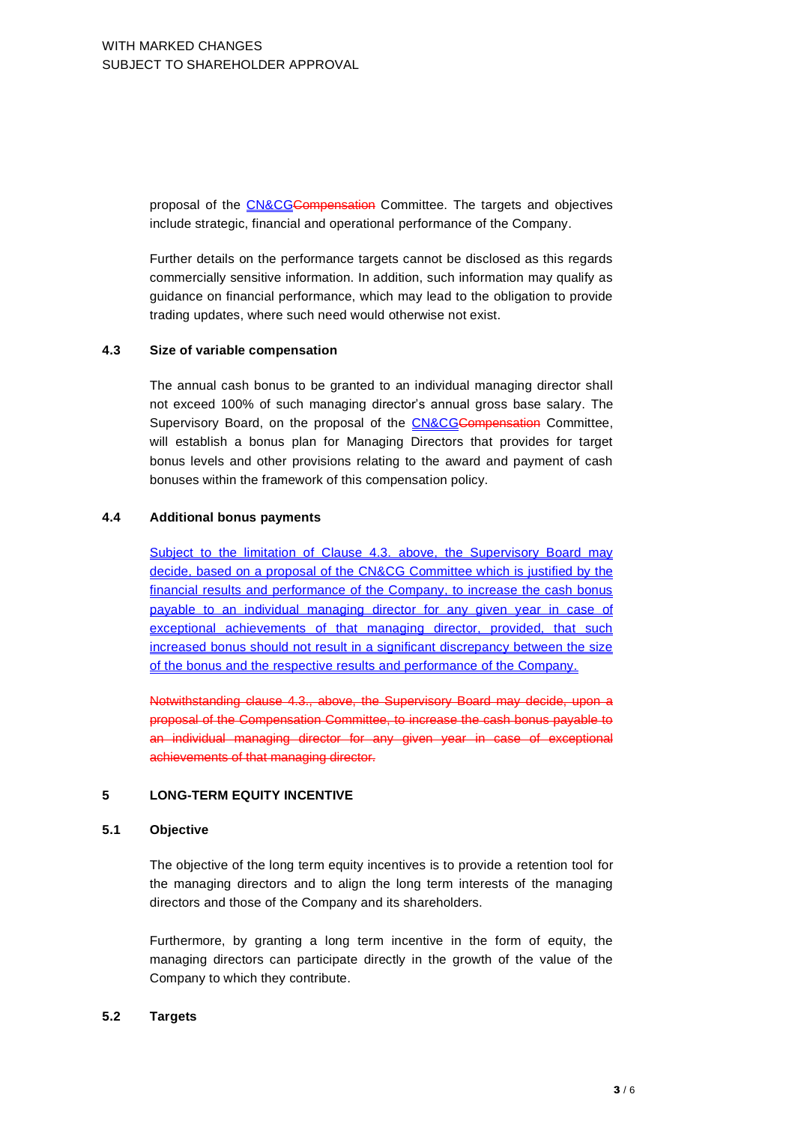proposal of the CN&CGCompensation Committee. The targets and objectives include strategic, financial and operational performance of the Company.

Further details on the performance targets cannot be disclosed as this regards commercially sensitive information. In addition, such information may qualify as guidance on financial performance, which may lead to the obligation to provide trading updates, where such need would otherwise not exist.

#### **4.3 Size of variable compensation**

The annual cash bonus to be granted to an individual managing director shall not exceed 100% of such managing director's annual gross base salary. The Supervisory Board, on the proposal of the CN&CGCompensation Committee, will establish a bonus plan for Managing Directors that provides for target bonus levels and other provisions relating to the award and payment of cash bonuses within the framework of this compensation policy.

# **4.4 Additional bonus payments**

Subject to the limitation of Clause 4.3, above, the Supervisory Board may decide, based on a proposal of the CN&CG Committee which is justified by the financial results and performance of the Company, to increase the cash bonus payable to an individual managing director for any given year in case of exceptional achievements of that managing director, provided, that such increased bonus should not result in a significant discrepancy between the size of the bonus and the respective results and performance of the Company.

Notwithstanding clause 4.3., above, the Supervisory Board may decide, upon a proposal of the Compensation Committee, to increase the cash bonus payable to an individual managing director for any given year in case of exceptional achievements of that managing director.

## **5 LONG-TERM EQUITY INCENTIVE**

# **5.1 Objective**

The objective of the long term equity incentives is to provide a retention tool for the managing directors and to align the long term interests of the managing directors and those of the Company and its shareholders.

Furthermore, by granting a long term incentive in the form of equity, the managing directors can participate directly in the growth of the value of the Company to which they contribute.

## **5.2 Targets**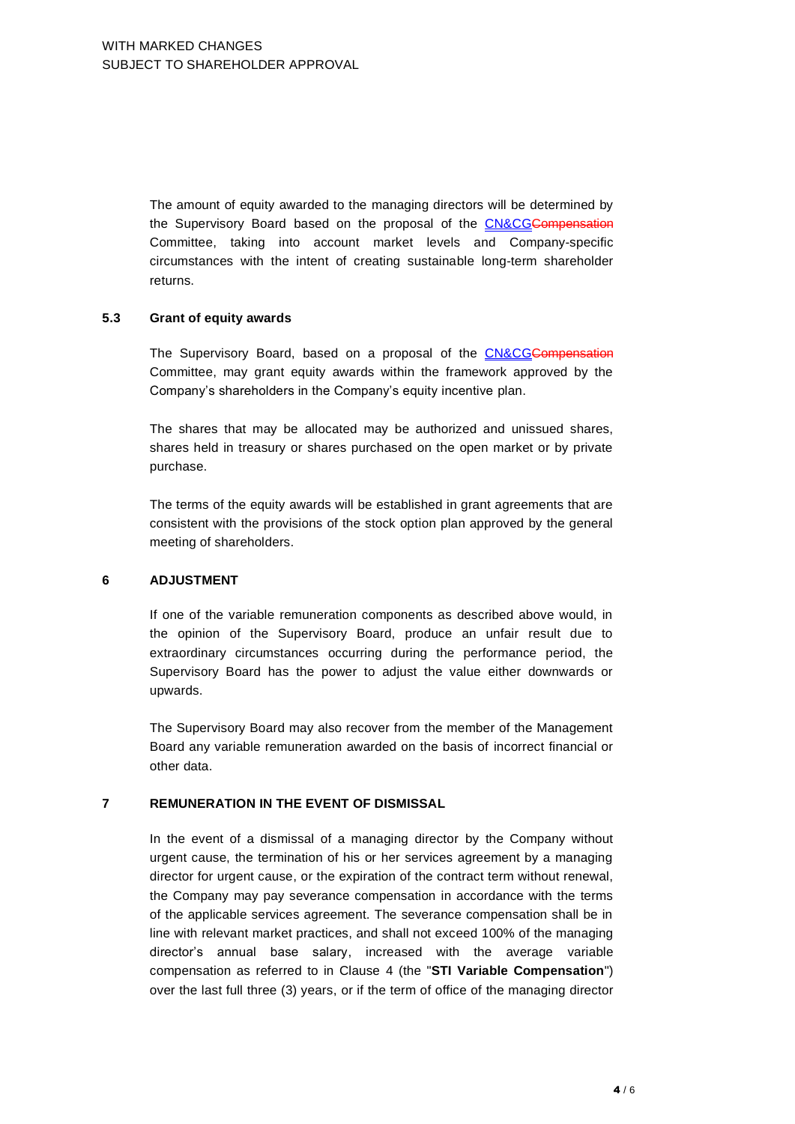The amount of equity awarded to the managing directors will be determined by the Supervisory Board based on the proposal of the CN&CGCompensation Committee, taking into account market levels and Company-specific circumstances with the intent of creating sustainable long-term shareholder returns.

#### **5.3 Grant of equity awards**

The Supervisory Board, based on a proposal of the CN&CGCompensation Committee, may grant equity awards within the framework approved by the Company's shareholders in the Company's equity incentive plan.

The shares that may be allocated may be authorized and unissued shares, shares held in treasury or shares purchased on the open market or by private purchase.

The terms of the equity awards will be established in grant agreements that are consistent with the provisions of the stock option plan approved by the general meeting of shareholders.

# **6 ADJUSTMENT**

If one of the variable remuneration components as described above would, in the opinion of the Supervisory Board, produce an unfair result due to extraordinary circumstances occurring during the performance period, the Supervisory Board has the power to adjust the value either downwards or upwards.

The Supervisory Board may also recover from the member of the Management Board any variable remuneration awarded on the basis of incorrect financial or other data.

# **7 REMUNERATION IN THE EVENT OF DISMISSAL**

In the event of a dismissal of a managing director by the Company without urgent cause, the termination of his or her services agreement by a managing director for urgent cause, or the expiration of the contract term without renewal, the Company may pay severance compensation in accordance with the terms of the applicable services agreement. The severance compensation shall be in line with relevant market practices, and shall not exceed 100% of the managing director's annual base salary, increased with the average variable compensation as referred to in Clause 4 (the "**STI Variable Compensation**") over the last full three (3) years, or if the term of office of the managing director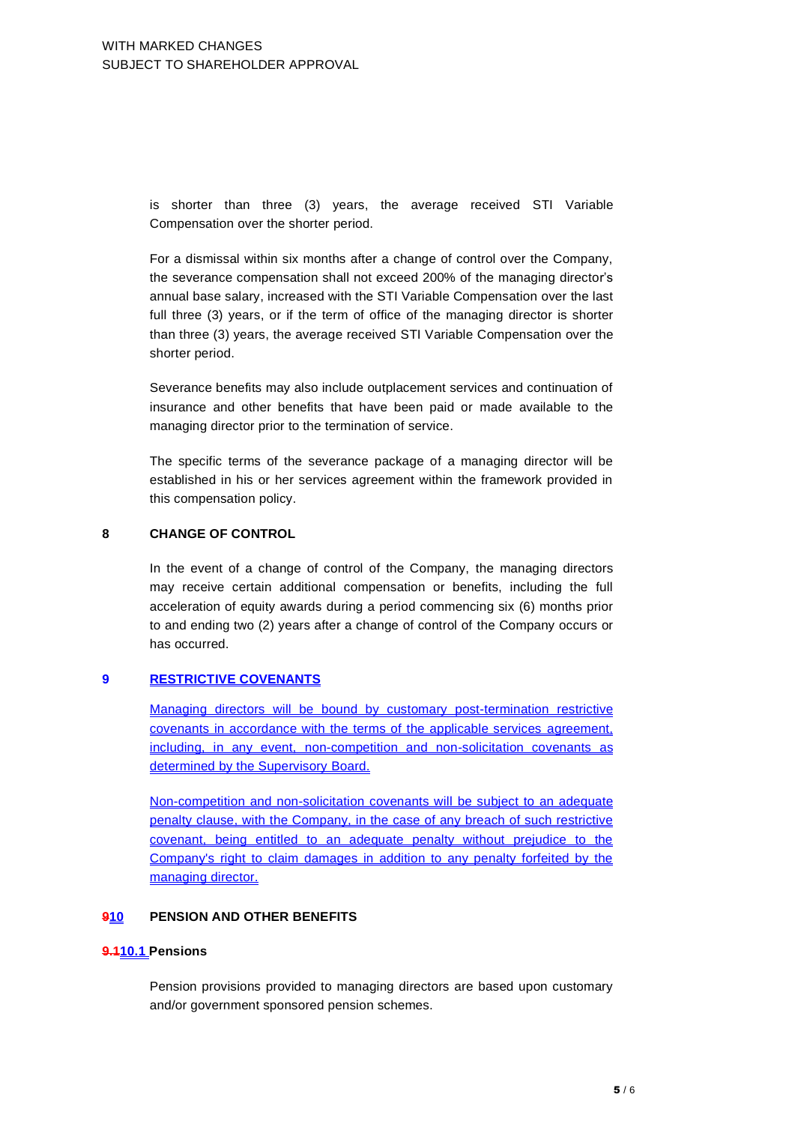is shorter than three (3) years, the average received STI Variable Compensation over the shorter period.

For a dismissal within six months after a change of control over the Company, the severance compensation shall not exceed 200% of the managing director's annual base salary, increased with the STI Variable Compensation over the last full three (3) years, or if the term of office of the managing director is shorter than three (3) years, the average received STI Variable Compensation over the shorter period.

Severance benefits may also include outplacement services and continuation of insurance and other benefits that have been paid or made available to the managing director prior to the termination of service.

The specific terms of the severance package of a managing director will be established in his or her services agreement within the framework provided in this compensation policy.

#### **8 CHANGE OF CONTROL**

In the event of a change of control of the Company, the managing directors may receive certain additional compensation or benefits, including the full acceleration of equity awards during a period commencing six (6) months prior to and ending two (2) years after a change of control of the Company occurs or has occurred.

# **9 RESTRICTIVE COVENANTS**

Managing directors will be bound by customary post-termination restrictive covenants in accordance with the terms of the applicable services agreement, including, in any event, non-competition and non-solicitation covenants as determined by the Supervisory Board.

Non-competition and non-solicitation covenants will be subject to an adequate penalty clause, with the Company, in the case of any breach of such restrictive covenant, being entitled to an adequate penalty without prejudice to the Company's right to claim damages in addition to any penalty forfeited by the managing director.

# **910 PENSION AND OTHER BENEFITS**

#### **9.110.1 Pensions**

Pension provisions provided to managing directors are based upon customary and/or government sponsored pension schemes.